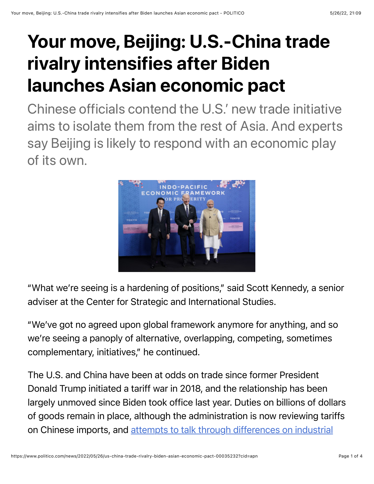## Your move, Beijing: U.S.-China trade rivalry intensifies after Biden launches Asian economic pact

Chinese officials contend the U.S.' new trade initiative aims to isolate them from the rest of Asia. And experts say Beijing is likely to respond with an economic play of its own.



"What we're seeing is a hardening of positions," said Scott Kennedy, a senior adviser at the Center for Strategic and International Studies.

"We've got no agreed upon global framework anymore for anything, and so we're seeing a panoply of alternative, overlapping, competing, sometimes complementary, initiatives," he continued.

The U.S. and China have been at odds on trade since former President Donald Trump initiated a tariff war in 2018, and the relationship has been largely unmoved since Biden took office last year. Duties on billions of dollars of goods remain in place, although the administration is now reviewing tariffs [on Chinese imports, and attempts to talk through differences on industrial](https://www.politico.com/news/2022/03/30/tai-trade-defense-against-china-00021473)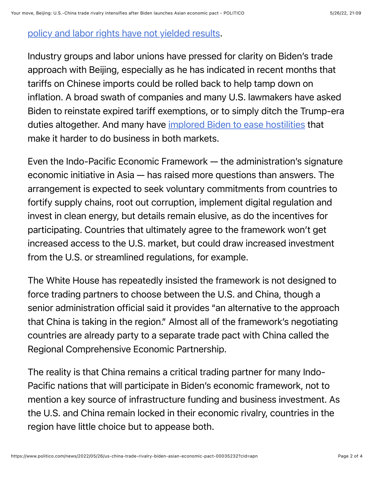## [policy and labor rights have not yielded results.](https://www.politico.com/news/2022/03/30/tai-trade-defense-against-china-00021473)

Industry groups and labor unions have pressed for clarity on Biden's trade approach with Beijing, especially as he has indicated in recent months that tariffs on Chinese imports could be rolled back to help tamp down on inflation. A broad swath of companies and many U.S. lawmakers have asked Biden to reinstate expired tariff exemptions, or to simply ditch the Trump-era duties altogether. And many have [implored Biden to ease hostilities](https://www.politico.com/news/2021/03/18/biden-trade-relief-china-477055) that make it harder to do business in both markets.

Even the Indo-Pacific Economic Framework — the administration's signature economic initiative in Asia — has raised more questions than answers. The arrangement is expected to seek voluntary commitments from countries to fortify supply chains, root out corruption, implement digital regulation and invest in clean energy, but details remain elusive, as do the incentives for participating. Countries that ultimately agree to the framework won't get increased access to the U.S. market, but could draw increased investment from the U.S. or streamlined regulations, for example.

The White House has repeatedly insisted the framework is not designed to force trading partners to choose between the U.S. and China, though a senior administration official said it provides "an alternative to the approach that China is taking in the region." Almost all of the framework's negotiating countries are already party to a separate trade pact with China called the Regional Comprehensive Economic Partnership.

The reality is that China remains a critical trading partner for many Indo-Pacific nations that will participate in Biden's economic framework, not to mention a key source of infrastructure funding and business investment. As the U.S. and China remain locked in their economic rivalry, countries in the region have little choice but to appease both.